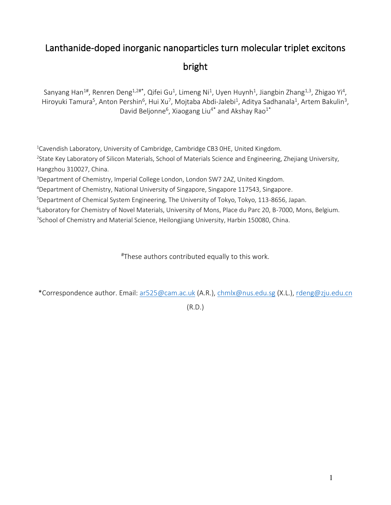## Lanthanide-doped inorganic nanoparticles turn molecular triplet excitons bright

Sanyang Han<sup>1#</sup>, Renren Deng<sup>1,2#\*</sup>, Qifei Gu<sup>1</sup>, Limeng Ni<sup>1</sup>, Uyen Huynh<sup>1</sup>, Jiangbin Zhang<sup>1,3</sup>, Zhigao Yi<sup>4</sup>, Hiroyuki Tamura<sup>5</sup>, Anton Pershin<sup>6</sup>, Hui Xu<sup>7</sup>, Mojtaba Abdi-Jalebi<sup>1</sup>, Aditya Sadhanala<sup>1</sup>, Artem Bakulin<sup>3</sup>, David Beljonne<sup>6</sup>, Xiaogang Liu<sup>4\*</sup> and Akshay Rao<sup>1\*</sup>

<sup>1</sup>Cavendish Laboratory, University of Cambridge, Cambridge CB3 OHE, United Kingdom. <sup>2</sup>State Key Laboratory of Silicon Materials, School of Materials Science and Engineering, Zhejiang University,

Hangzhou 310027, China.

<sup>3</sup>Department of Chemistry, Imperial College London, London SW7 2AZ, United Kingdom.

<sup>4</sup>Department of Chemistry, National University of Singapore, Singapore 117543, Singapore.

<sup>5</sup>Department of Chemical System Engineering, The University of Tokyo, Tokyo, 113-8656, Japan.

<sup>6</sup>Laboratory for Chemistry of Novel Materials, University of Mons, Place du Parc 20, B-7000, Mons, Belgium.

<sup>7</sup>School of Chemistry and Material Science, Heilongjiang University, Harbin 150080, China.

#These authors contributed equally to this work.

\*Correspondence author. Email: [ar525@cam.ac.uk](mailto:ar525@cam.ac.uk) (A.R.), [chmlx@nus.edu.sg](mailto:chmlx@nus.edu.sg) (X.L.)[, rdeng@zju.edu.cn](mailto:rdeng@zju.edu.cn)

(R.D.)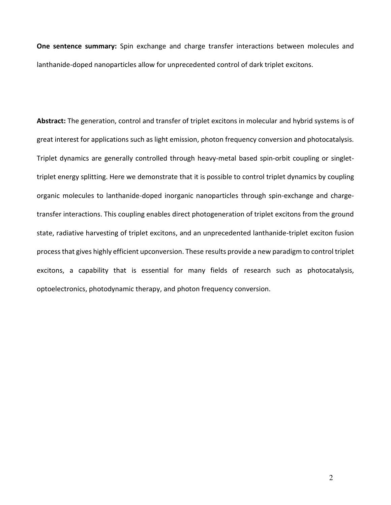**One sentence summary:** Spin exchange and charge transfer interactions between molecules and lanthanide-doped nanoparticles allow for unprecedented control of dark triplet excitons.

**Abstract:** The generation, control and transfer of triplet excitons in molecular and hybrid systems is of great interest for applications such as light emission, photon frequency conversion and photocatalysis. Triplet dynamics are generally controlled through heavy-metal based spin-orbit coupling or singlettriplet energy splitting. Here we demonstrate that it is possible to control triplet dynamics by coupling organic molecules to lanthanide-doped inorganic nanoparticles through spin-exchange and chargetransfer interactions. This coupling enables direct photogeneration of triplet excitons from the ground state, radiative harvesting of triplet excitons, and an unprecedented lanthanide-triplet exciton fusion process that gives highly efficient upconversion. These results provide a new paradigm to control triplet excitons, a capability that is essential for many fields of research such as photocatalysis, optoelectronics, photodynamic therapy, and photon frequency conversion.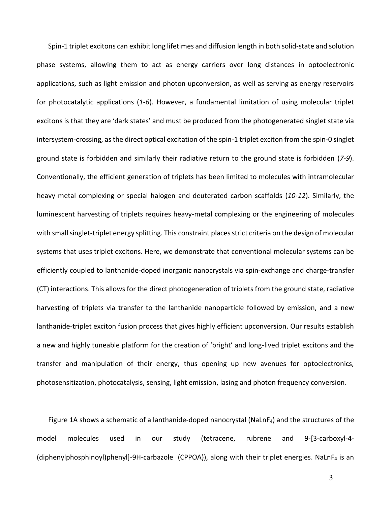Spin-1 triplet excitons can exhibit long lifetimes and diffusion length in both solid-state and solution phase systems, allowing them to act as energy carriers over long distances in optoelectronic applications, such as light emission and photon upconversion, as well as serving as energy reservoirs for photocatalytic applications (*1-6*). However, a fundamental limitation of using molecular triplet excitons is that they are 'dark states' and must be produced from the photogenerated singlet state via intersystem-crossing, as the direct optical excitation of the spin-1 triplet exciton from the spin-0 singlet ground state is forbidden and similarly their radiative return to the ground state is forbidden (*7-9*). Conventionally, the efficient generation of triplets has been limited to molecules with intramolecular heavy metal complexing or special halogen and deuterated carbon scaffolds (*10-12*). Similarly, the luminescent harvesting of triplets requires heavy-metal complexing or the engineering of molecules with small singlet-triplet energy splitting. This constraint places strict criteria on the design of molecular systems that uses triplet excitons. Here, we demonstrate that conventional molecular systems can be efficiently coupled to lanthanide-doped inorganic nanocrystals via spin-exchange and charge-transfer (CT) interactions. This allows for the direct photogeneration of triplets from the ground state, radiative harvesting of triplets via transfer to the lanthanide nanoparticle followed by emission, and a new lanthanide-triplet exciton fusion process that gives highly efficient upconversion. Our results establish a new and highly tuneable platform for the creation of 'bright' and long-lived triplet excitons and the transfer and manipulation of their energy, thus opening up new avenues for optoelectronics, photosensitization, photocatalysis, sensing, light emission, lasing and photon frequency conversion.

Figure 1A shows a schematic of a lanthanide-doped nanocrystal (NaLnF<sub>4</sub>) and the structures of the model molecules used in our study (tetracene, rubrene and 9-[3-carboxyl-4- (diphenylphosphinoyl)phenyl]-9H-carbazole (CPPOA)), along with their triplet energies. NaLnF4 is an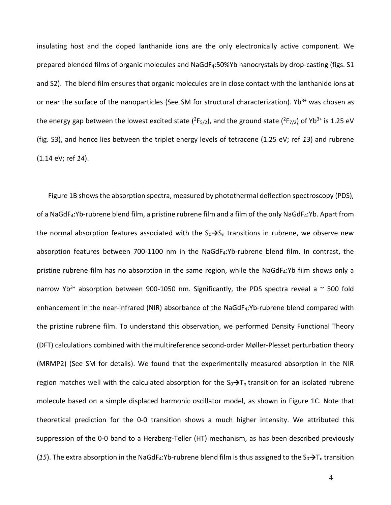insulating host and the doped lanthanide ions are the only electronically active component. We prepared blended films of organic molecules and NaGdF4:50%Yb nanocrystals by drop-casting (figs. S1 and S2). The blend film ensures that organic molecules are in close contact with the lanthanide ions at or near the surface of the nanoparticles (See SM for structural characterization).  $Yb^{3+}$  was chosen as the energy gap between the lowest excited state  $(^{2}F_{5/2})$ , and the ground state  $(^{2}F_{7/2})$  of Yb<sup>3+</sup> is 1.25 eV (fig. S3), and hence lies between the triplet energy levels of tetracene (1.25 eV; ref *13*) and rubrene (1.14 eV; ref *14*).

Figure 1B shows the absorption spectra, measured by photothermal deflection spectroscopy (PDS), of a NaGdF<sub>4</sub>:Yb-rubrene blend film, a pristine rubrene film and a film of the only NaGdF<sub>4</sub>:Yb. Apart from the normal absorption features associated with the  $S_0 \rightarrow S_n$  transitions in rubrene, we observe new absorption features between 700-1100 nm in the NaGdF<sub>4</sub>:Yb-rubrene blend film. In contrast, the pristine rubrene film has no absorption in the same region, while the NaGdF<sub>4</sub>:Yb film shows only a narrow Yb<sup>3+</sup> absorption between 900-1050 nm. Significantly, the PDS spectra reveal a  $\sim$  500 fold enhancement in the near-infrared (NIR) absorbance of the NaGdF<sub>4</sub>:Yb-rubrene blend compared with the pristine rubrene film. To understand this observation, we performed Density Functional Theory (DFT) calculations combined with the multireference second-order Møller-Plesset perturbation theory (MRMP2) (See SM for details). We found that the experimentally measured absorption in the NIR region matches well with the calculated absorption for the S<sub>0</sub>→T<sub>n</sub> transition for an isolated rubrene molecule based on a simple displaced harmonic oscillator model, as shown in Figure 1C. Note that theoretical prediction for the 0-0 transition shows a much higher intensity. We attributed this suppression of the 0-0 band to a Herzberg-Teller (HT) mechanism, as has been described previously (15). The extra absorption in the NaGdF<sub>4</sub>:Yb-rubrene blend film is thus assigned to the  $S_0 \rightarrow T_n$  transition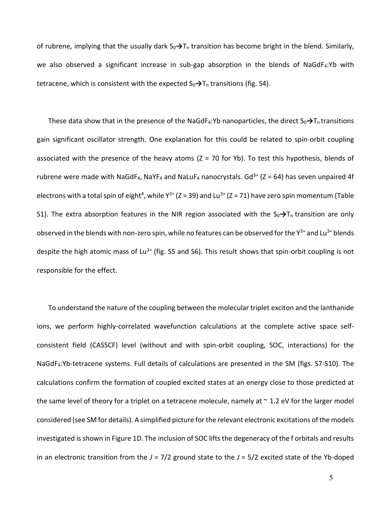of rubrene, implying that the usually dark S<sub>0</sub>→T<sub>n</sub> transition has become bright in the blend. Similarly, we also observed a significant increase in sub-gap absorption in the blends of NaGdF<sub>4</sub>:Yb with tetracene, which is consistent with the expected S<sub>0</sub>→T<sub>n</sub> transitions (fig. S4).

These data show that in the presence of the NaGdF<sub>4</sub>:Yb nanoparticles, the direct S<sub>0</sub>→T<sub>n</sub> transitions gain significant oscillator strength. One explanation for this could be related to spin-orbit coupling associated with the presence of the heavy atoms  $(Z = 70$  for Yb). To test this hypothesis, blends of rubrene were made with NaGdF<sub>4</sub>, NaYF<sub>4</sub> and NaLuF<sub>4</sub> nanocrystals. Gd<sup>3+</sup> (Z = 64) has seven unpaired 4f electrons with a total spin of eight<sup>4</sup>, while  $Y^{3+}$  (Z = 39) and Lu<sup>3+</sup> (Z = 71) have zero spin momentum (Table S1). The extra absorption features in the NIR region associated with the  $S_0 \rightarrow T_n$  transition are only observed in the blends with non-zero spin, while no features can be observed for the  $Y^{3+}$  and Lu<sup>3+</sup> blends despite the high atomic mass of Lu<sup>3+</sup> (fig. S5 and S6). This result shows that spin-orbit coupling is not responsible for the effect.

To understand the nature of the coupling between the molecular triplet exciton and the lanthanide ions, we perform highly-correlated wavefunction calculations at the complete active space selfconsistent field (CASSCF) level (without and with spin-orbit coupling, SOC, interactions) for the NaGdF4:Yb-tetracene systems. Full details of calculations are presented in the SM (figs. S7-S10). The calculations confirm the formation of coupled excited states at an energy close to those predicted at the same level of theory for a triplet on a tetracene molecule, namely at  $\sim$  1.2 eV for the larger model considered (see SM for details). A simplified picture for the relevant electronic excitations of the models investigated is shown in Figure 1D. The inclusion of SOC lifts the degeneracy of the f orbitals and results in an electronic transition from the  $J = 7/2$  ground state to the  $J = 5/2$  excited state of the Yb-doped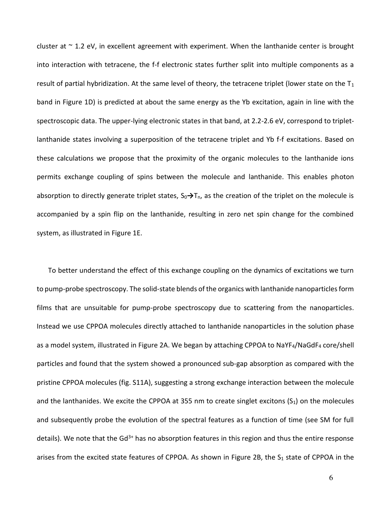cluster at  $\sim$  1.2 eV, in excellent agreement with experiment. When the lanthanide center is brought into interaction with tetracene, the f-f electronic states further split into multiple components as a result of partial hybridization. At the same level of theory, the tetracene triplet (lower state on the  $T_1$ band in Figure 1D) is predicted at about the same energy as the Yb excitation, again in line with the spectroscopic data. The upper-lying electronic states in that band, at 2.2-2.6 eV, correspond to tripletlanthanide states involving a superposition of the tetracene triplet and Yb f-f excitations. Based on these calculations we propose that the proximity of the organic molecules to the lanthanide ions permits exchange coupling of spins between the molecule and lanthanide. This enables photon absorption to directly generate triplet states, S0**→**Tn, as the creation of the triplet on the molecule is accompanied by a spin flip on the lanthanide, resulting in zero net spin change for the combined system, as illustrated in Figure 1E.

To better understand the effect of this exchange coupling on the dynamics of excitations we turn to pump-probe spectroscopy. The solid-state blends of the organics with lanthanide nanoparticles form films that are unsuitable for pump-probe spectroscopy due to scattering from the nanoparticles. Instead we use CPPOA molecules directly attached to lanthanide nanoparticles in the solution phase as a model system, illustrated in Figure 2A. We began by attaching CPPOA to NaYF4/NaGdF4 core/shell particles and found that the system showed a pronounced sub-gap absorption as compared with the pristine CPPOA molecules (fig. S11A), suggesting a strong exchange interaction between the molecule and the lanthanides. We excite the CPPOA at 355 nm to create singlet excitons  $(S_1)$  on the molecules and subsequently probe the evolution of the spectral features as a function of time (see SM for full details). We note that the  $Gd^{3+}$  has no absorption features in this region and thus the entire response arises from the excited state features of CPPOA. As shown in Figure 2B, the  $S_1$  state of CPPOA in the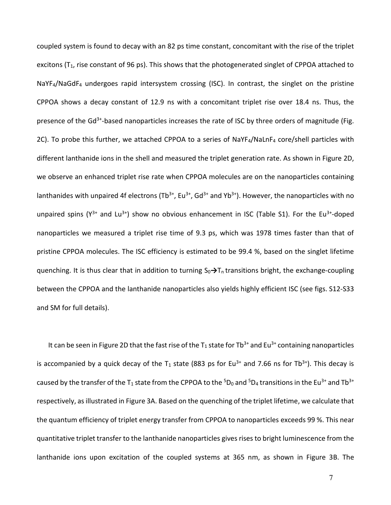coupled system is found to decay with an 82 ps time constant, concomitant with the rise of the triplet excitons ( $T_1$ , rise constant of 96 ps). This shows that the photogenerated singlet of CPPOA attached to NaYF4/NaGdF4 undergoes rapid intersystem crossing (ISC). In contrast, the singlet on the pristine CPPOA shows a decay constant of 12.9 ns with a concomitant triplet rise over 18.4 ns. Thus, the presence of the  $Gd^{3+}$ -based nanoparticles increases the rate of ISC by three orders of magnitude (Fig. 2C). To probe this further, we attached CPPOA to a series of NaYF4/NaLnF4 core/shell particles with different lanthanide ions in the shell and measured the triplet generation rate. As shown in Figure 2D, we observe an enhanced triplet rise rate when CPPOA molecules are on the nanoparticles containing lanthanides with unpaired 4f electrons (Tb<sup>3+</sup>, Eu<sup>3+</sup>, Gd<sup>3+</sup> and Yb<sup>3+</sup>). However, the nanoparticles with no unpaired spins ( $Y^{3+}$  and Lu<sup>3+</sup>) show no obvious enhancement in ISC (Table S1). For the Eu<sup>3+</sup>-doped nanoparticles we measured a triplet rise time of 9.3 ps, which was 1978 times faster than that of pristine CPPOA molecules. The ISC efficiency is estimated to be 99.4 %, based on the singlet lifetime quenching. It is thus clear that in addition to turning S<sub>0</sub>→T<sub>n</sub> transitions bright, the exchange-coupling between the CPPOA and the lanthanide nanoparticles also yields highly efficient ISC (see figs. S12-S33 and SM for full details).

It can be seen in Figure 2D that the fast rise of the  $T_1$  state for Tb<sup>3+</sup> and Eu<sup>3+</sup> containing nanoparticles is accompanied by a quick decay of the  $T_1$  state (883 ps for Eu<sup>3+</sup> and 7.66 ns for Tb<sup>3+</sup>). This decay is caused by the transfer of the T<sub>1</sub> state from the CPPOA to the <sup>5</sup>D<sub>0</sub> and <sup>5</sup>D<sub>4</sub> transitions in the Eu<sup>3+</sup> and Tb<sup>3+</sup> respectively, as illustrated in Figure 3A. Based on the quenching of the triplet lifetime, we calculate that the quantum efficiency of triplet energy transfer from CPPOA to nanoparticles exceeds 99 %. This near quantitative triplet transfer to the lanthanide nanoparticles gives rises to bright luminescence from the lanthanide ions upon excitation of the coupled systems at 365 nm, as shown in Figure 3B. The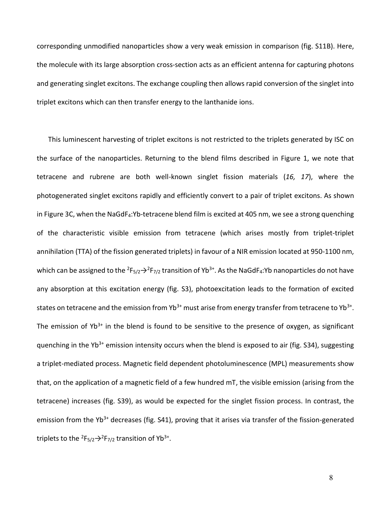corresponding unmodified nanoparticles show a very weak emission in comparison (fig. S11B). Here, the molecule with its large absorption cross-section acts as an efficient antenna for capturing photons and generating singlet excitons. The exchange coupling then allows rapid conversion of the singlet into triplet excitons which can then transfer energy to the lanthanide ions.

This luminescent harvesting of triplet excitons is not restricted to the triplets generated by ISC on the surface of the nanoparticles. Returning to the blend films described in Figure 1, we note that tetracene and rubrene are both well-known singlet fission materials (*16, 17*), where the photogenerated singlet excitons rapidly and efficiently convert to a pair of triplet excitons. As shown in Figure 3C, when the NaGdF<sub>4</sub>:Yb-tetracene blend film is excited at 405 nm, we see a strong quenching of the characteristic visible emission from tetracene (which arises mostly from triplet-triplet annihilation (TTA) of the fission generated triplets) in favour of a NIR emission located at 950-1100 nm, which can be assigned to the  ${}^{2}F_{5/2} \rightarrow {}^{2}F_{7/2}$  transition of Yb<sup>3+</sup>. As the NaGdF<sub>4</sub>:Yb nanoparticles do not have any absorption at this excitation energy (fig. S3), photoexcitation leads to the formation of excited states on tetracene and the emission from Yb<sup>3+</sup> must arise from energy transfer from tetracene to Yb<sup>3+</sup>. The emission of Yb<sup>3+</sup> in the blend is found to be sensitive to the presence of oxygen, as significant quenching in the Yb<sup>3+</sup> emission intensity occurs when the blend is exposed to air (fig. S34), suggesting a triplet-mediated process. Magnetic field dependent photoluminescence (MPL) measurements show that, on the application of a magnetic field of a few hundred mT, the visible emission (arising from the tetracene) increases (fig. S39), as would be expected for the singlet fission process. In contrast, the emission from the Yb<sup>3+</sup> decreases (fig. S41), proving that it arises via transfer of the fission-generated triplets to the  ${}^{2}F_{5/2} \rightarrow {}^{2}F_{7/2}$  transition of Yb<sup>3+</sup>.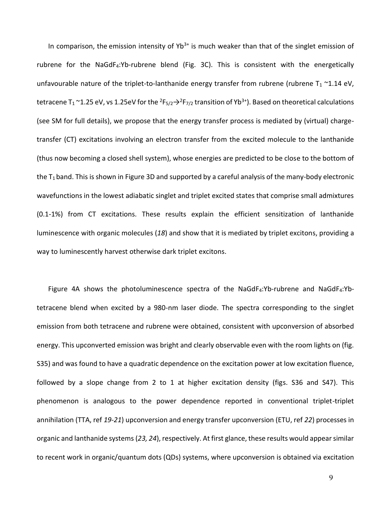In comparison, the emission intensity of  $Yb^{3+}$  is much weaker than that of the singlet emission of rubrene for the NaGdF4:Yb-rubrene blend (Fig. 3C). This is consistent with the energetically unfavourable nature of the triplet-to-lanthanide energy transfer from rubrene (rubrene  $T_1 \sim 1.14$  eV, tetracene T<sub>1</sub> ~1.25 eV, vs 1.25eV for the <sup>2</sup>F<sub>5/2</sub>  $\rightarrow$ <sup>2</sup>F<sub>7/2</sub> transition of Yb<sup>3+</sup>). Based on theoretical calculations (see SM for full details), we propose that the energy transfer process is mediated by (virtual) chargetransfer (CT) excitations involving an electron transfer from the excited molecule to the lanthanide (thus now becoming a closed shell system), whose energies are predicted to be close to the bottom of the  $T_1$  band. This is shown in Figure 3D and supported by a careful analysis of the many-body electronic wavefunctions in the lowest adiabatic singlet and triplet excited states that comprise small admixtures (0.1-1%) from CT excitations. These results explain the efficient sensitization of lanthanide luminescence with organic molecules (*18*) and show that it is mediated by triplet excitons, providing a way to luminescently harvest otherwise dark triplet excitons.

Figure 4A shows the photoluminescence spectra of the NaGdF4:Yb-rubrene and NaGdF4:Ybtetracene blend when excited by a 980-nm laser diode. The spectra corresponding to the singlet emission from both tetracene and rubrene were obtained, consistent with upconversion of absorbed energy. This upconverted emission was bright and clearly observable even with the room lights on (fig. S35) and was found to have a quadratic dependence on the excitation power at low excitation fluence, followed by a slope change from 2 to 1 at higher excitation density (figs. S36 and S47). This phenomenon is analogous to the power dependence reported in conventional triplet-triplet annihilation (TTA, ref *19-21*) upconversion and energy transfer upconversion (ETU, ref *22*) processes in organic and lanthanide systems (*23, 24*), respectively. At first glance, these results would appear similar to recent work in organic/quantum dots (QDs) systems, where upconversion is obtained via excitation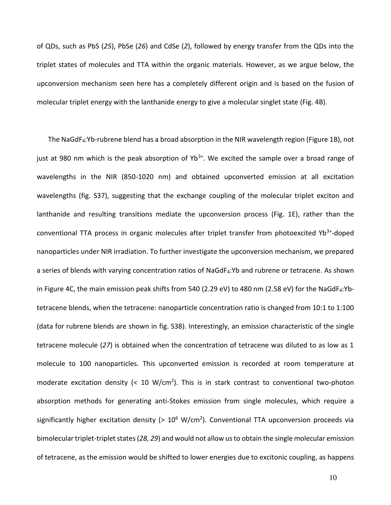of QDs, such as PbS (*25*), PbSe (*26*) and CdSe (*2*), followed by energy transfer from the QDs into the triplet states of molecules and TTA within the organic materials. However, as we argue below, the upconversion mechanism seen here has a completely different origin and is based on the fusion of molecular triplet energy with the lanthanide energy to give a molecular singlet state (Fig. 4B).

The NaGdF4:Yb-rubrene blend has a broad absorption in the NIR wavelength region (Figure 1B), not just at 980 nm which is the peak absorption of  $Yb^{3+}$ . We excited the sample over a broad range of wavelengths in the NIR (850-1020 nm) and obtained upconverted emission at all excitation wavelengths (fig. S37), suggesting that the exchange coupling of the molecular triplet exciton and lanthanide and resulting transitions mediate the upconversion process (Fig. 1E), rather than the conventional TTA process in organic molecules after triplet transfer from photoexcited Yb<sup>3+</sup>-doped nanoparticles under NIR irradiation. To further investigate the upconversion mechanism, we prepared a series of blends with varying concentration ratios of NaGdF<sub>4</sub>:Yb and rubrene or tetracene. As shown in Figure 4C, the main emission peak shifts from 540 (2.29 eV) to 480 nm (2.58 eV) for the NaGdF<sub>4</sub>:Ybtetracene blends, when the tetracene: nanoparticle concentration ratio is changed from 10:1 to 1:100 (data for rubrene blends are shown in fig. S38). Interestingly, an emission characteristic of the single tetracene molecule (*27*) is obtained when the concentration of tetracene was diluted to as low as 1 molecule to 100 nanoparticles. This upconverted emission is recorded at room temperature at moderate excitation density  $\left($  < 10 W/cm<sup>2</sup>). This is in stark contrast to conventional two-photon absorption methods for generating anti-Stokes emission from single molecules, which require a significantly higher excitation density (>  $10^6$  W/cm<sup>2</sup>). Conventional TTA upconversion proceeds via bimolecular triplet-triplet states (*28, 29*) and would not allow us to obtain the single molecular emission of tetracene, as the emission would be shifted to lower energies due to excitonic coupling, as happens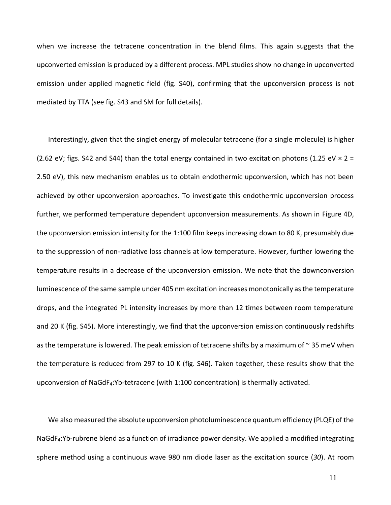when we increase the tetracene concentration in the blend films. This again suggests that the upconverted emission is produced by a different process. MPL studies show no change in upconverted emission under applied magnetic field (fig. S40), confirming that the upconversion process is not mediated by TTA (see fig. S43 and SM for full details).

Interestingly, given that the singlet energy of molecular tetracene (for a single molecule) is higher (2.62 eV; figs. S42 and S44) than the total energy contained in two excitation photons (1.25 eV  $\times$  2 = 2.50 eV), this new mechanism enables us to obtain endothermic upconversion, which has not been achieved by other upconversion approaches. To investigate this endothermic upconversion process further, we performed temperature dependent upconversion measurements. As shown in Figure 4D, the upconversion emission intensity for the 1:100 film keeps increasing down to 80 K, presumably due to the suppression of non-radiative loss channels at low temperature. However, further lowering the temperature results in a decrease of the upconversion emission. We note that the downconversion luminescence of the same sample under 405 nm excitation increases monotonically as the temperature drops, and the integrated PL intensity increases by more than 12 times between room temperature and 20 K (fig. S45). More interestingly, we find that the upconversion emission continuously redshifts as the temperature is lowered. The peak emission of tetracene shifts by a maximum of  $\sim$  35 meV when the temperature is reduced from 297 to 10 K (fig. S46). Taken together, these results show that the upconversion of NaGdF4:Yb-tetracene (with 1:100 concentration) is thermally activated.

We also measured the absolute upconversion photoluminescence quantum efficiency (PLQE) of the NaGdF4:Yb-rubrene blend as a function of irradiance power density. We applied a modified integrating sphere method using a continuous wave 980 nm diode laser as the excitation source (*30*). At room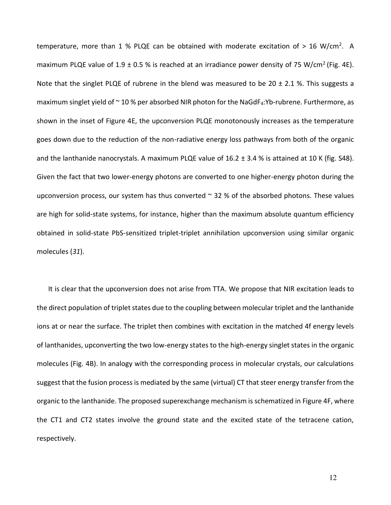temperature, more than  $1\%$  PLQE can be obtained with moderate excitation of  $> 16$  W/cm<sup>2</sup>. A maximum PLQE value of  $1.9 \pm 0.5$  % is reached at an irradiance power density of 75 W/cm<sup>2</sup> (Fig. 4E). Note that the singlet PLQE of rubrene in the blend was measured to be 20  $\pm$  2.1 %. This suggests a maximum singlet yield of  $\sim$  10 % per absorbed NIR photon for the NaGdF<sub>4</sub>:Yb-rubrene. Furthermore, as shown in the inset of Figure 4E, the upconversion PLQE monotonously increases as the temperature goes down due to the reduction of the non-radiative energy loss pathways from both of the organic and the lanthanide nanocrystals. A maximum PLQE value of 16.2 ± 3.4 % is attained at 10 K (fig. S48). Given the fact that two lower-energy photons are converted to one higher-energy photon during the upconversion process, our system has thus converted  $\sim$  32 % of the absorbed photons. These values are high for solid-state systems, for instance, higher than the maximum absolute quantum efficiency obtained in solid-state PbS-sensitized triplet-triplet annihilation upconversion using similar organic molecules (*31*).

It is clear that the upconversion does not arise from TTA. We propose that NIR excitation leads to the direct population of triplet states due to the coupling between molecular triplet and the lanthanide ions at or near the surface. The triplet then combines with excitation in the matched 4f energy levels of lanthanides, upconverting the two low-energy states to the high-energy singlet states in the organic molecules (Fig. 4B). In analogy with the corresponding process in molecular crystals, our calculations suggest that the fusion process is mediated by the same (virtual) CT that steer energy transfer from the organic to the lanthanide. The proposed superexchange mechanism is schematized in Figure 4F, where the CT1 and CT2 states involve the ground state and the excited state of the tetracene cation, respectively.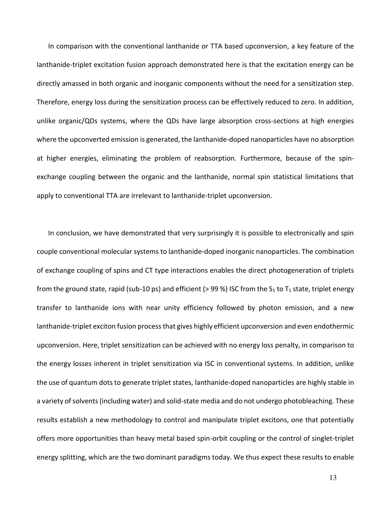In comparison with the conventional lanthanide or TTA based upconversion, a key feature of the lanthanide-triplet excitation fusion approach demonstrated here is that the excitation energy can be directly amassed in both organic and inorganic components without the need for a sensitization step. Therefore, energy loss during the sensitization process can be effectively reduced to zero. In addition, unlike organic/QDs systems, where the QDs have large absorption cross-sections at high energies where the upconverted emission is generated, the lanthanide-doped nanoparticles have no absorption at higher energies, eliminating the problem of reabsorption. Furthermore, because of the spinexchange coupling between the organic and the lanthanide, normal spin statistical limitations that apply to conventional TTA are irrelevant to lanthanide-triplet upconversion.

In conclusion, we have demonstrated that very surprisingly it is possible to electronically and spin couple conventional molecular systems to lanthanide-doped inorganic nanoparticles. The combination of exchange coupling of spins and CT type interactions enables the direct photogeneration of triplets from the ground state, rapid (sub-10 ps) and efficient (> 99 %) ISC from the  $S_1$  to  $T_1$  state, triplet energy transfer to lanthanide ions with near unity efficiency followed by photon emission, and a new lanthanide-triplet exciton fusion process that gives highly efficient upconversion and even endothermic upconversion. Here, triplet sensitization can be achieved with no energy loss penalty, in comparison to the energy losses inherent in triplet sensitization via ISC in conventional systems. In addition, unlike the use of quantum dots to generate triplet states, lanthanide-doped nanoparticles are highly stable in a variety of solvents (including water) and solid-state media and do not undergo photobleaching. These results establish a new methodology to control and manipulate triplet excitons, one that potentially offers more opportunities than heavy metal based spin-orbit coupling or the control of singlet-triplet energy splitting, which are the two dominant paradigms today. We thus expect these results to enable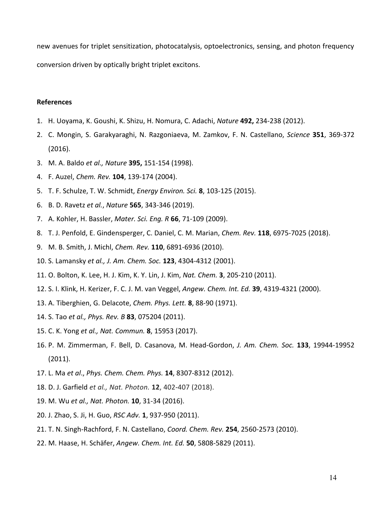new avenues for triplet sensitization, photocatalysis, optoelectronics, sensing, and photon frequency conversion driven by optically bright triplet excitons.

## **References**

- 1. H. Uoyama, K. Goushi, K. Shizu, H. Nomura, C. Adachi, *Nature* **492,** 234-238 (2012).
- 2. C. Mongin, S. Garakyaraghi, N. Razgoniaeva, M. Zamkov, F. N. Castellano, *Science* **351**, 369-372 (2016).
- 3. M. A. Baldo *et al., Nature* **395,** 151-154 (1998).
- 4. F. Auzel, *Chem. Rev.* **104**, 139-174 (2004).
- 5. T. F. Schulze, T. W. Schmidt, *Energy Environ. Sci.* **8**, 103-125 (2015).
- 6. B. D. [Ravetz](https://www.nature.com/articles/s41586-018-0835-2?WT.feed_name=subjects_photochemistry#auth-1) *et al.*, *Nature* **565**, 343-346 (2019).
- 7. A. Kohler, H. Bassler, *Mater. Sci. Eng. R* **66**, 71-109 (2009).
- 8. T. J. Penfold, E. Gindensperger, C. Daniel, C. M. Marian, *Chem. Rev.* **118**, 6975-7025 (2018).
- 9. M. B. Smith, J. Michl, *Chem. Rev.* **110**, 6891-6936 (2010).
- 10. S. Lamansky *et al., J. Am. Chem. Soc.* **123**, 4304-4312 (2001).
- 11. O. Bolton, K. Lee, H. J. Kim, K. Y. Lin, J. Kim, *Nat. Chem.* **3**, 205-210 (2011).
- 12. S. I. Klink, H. Kerizer, F. C. J. M. van Veggel, *Angew. Chem. Int. Ed.* **39**, 4319-4321 (2000).
- 13. A. Tiberghien, G. Delacote, *Chem. Phys. Lett.* **8**, 88-90 (1971).
- 14. S. Tao *et al., Phys. Rev. B* **83**, 075204 (2011).
- 15. C. K. Yong *et al., Nat. Commun.* **8**, 15953 (2017).
- 16. P. M. Zimmerman, F. Bell, D. Casanova, M. Head-Gordon, *J. Am. Chem. Soc.* **133**, 19944-19952 (2011).
- 17. L. Ma *et al*., *Phys. Chem. Chem. Phys.* **14**, 8307-8312 (2012).
- 18. D. J. [Garfield](https://www.nature.com/articles/s41566-018-0156-x#auth-1) *et al., Nat. Photon.* **12**, 402-407 (2018).
- 19. M. Wu *et al., Nat. Photon.* **10**, 31-34 (2016).
- 20. J. Zhao, S. Ji, H. Guo, *RSC Adv.* **1**, 937-950 (2011).
- 21. T. N. Singh-Rachford, F. N. Castellano, *Coord. Chem. Rev.* **254**, 2560-2573 (2010).
- 22. M. Haase, H. Schäfer, *Angew. Chem. Int. Ed.* **50**, 5808-5829 (2011).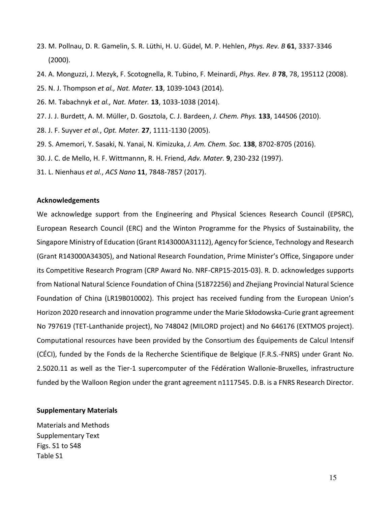- 23. M. Pollnau, D. R. Gamelin, S. R. Lüthi, H. U. Güdel, M. P. Hehlen, *Phys. Rev. B* **61**, 3337-3346 (2000).
- 24. A. Monguzzi, J. Mezyk, F. Scotognella, R. Tubino, F. Meinardi, *Phys. Rev. B* **78**, 78, 195112 (2008).
- 25. N. J. Thompson *et al., Nat. Mater.* **13**, 1039-1043 (2014).
- 26. M. Tabachnyk *et al., Nat. Mater.* **13**, 1033-1038 (2014).
- 27. J. J. Burdett, A. M. Müller, D. Gosztola, C. J. Bardeen, *J. Chem. Phys.* **133**, 144506 (2010).
- 28. J. F. Suyver *et al.*, *Opt. Mater.* **27**, 1111-1130 (2005).
- 29. S. Amemori, Y. Sasaki, N. Yanai, N. Kimizuka, *J. Am. Chem. Soc.* **138**, 8702-8705 (2016).
- 30. J. C. de Mello, H. F. Wittmannn, R. H. Friend, *Adv. Mater.* **9**, 230-232 (1997).
- 31. L. Nienhaus *et al.*, *ACS Nano* **11**, 7848-7857 (2017).

## **Acknowledgements**

We acknowledge support from the Engineering and Physical Sciences Research Council (EPSRC), European Research Council (ERC) and the Winton Programme for the Physics of Sustainability, the Singapore Ministry of Education (Grant R143000A31112), Agency for Science, Technology and Research (Grant R143000A34305), and National Research Foundation, Prime Minister's Office, Singapore under its Competitive Research Program (CRP Award No. NRF-CRP15-2015-03). R. D. acknowledges supports from National Natural Science Foundation of China (51872256) and Zhejiang Provincial Natural Science Foundation of China (LR19B010002). This project has received funding from the European Union's Horizon 2020 research and innovation programme under the Marie Skłodowska-Curie grant agreement No 797619 (TET-Lanthanide project), No 748042 (MILORD project) and No 646176 (EXTMOS project). Computational resources have been provided by the Consortium des Équipements de Calcul Intensif (CÉCI), funded by the Fonds de la Recherche Scientifique de Belgique (F.R.S.-FNRS) under Grant No. 2.5020.11 as well as the Tier-1 supercomputer of the Fédération Wallonie-Bruxelles, infrastructure funded by the Walloon Region under the grant agreement n1117545. D.B. is a FNRS Research Director.

## **Supplementary Materials**

Materials and Methods Supplementary Text Figs. S1 to S48 Table S1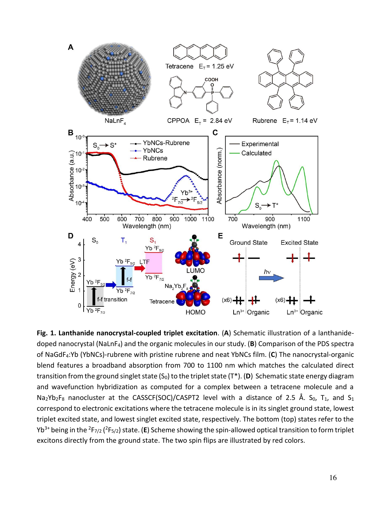

**Fig. 1. Lanthanide nanocrystal-coupled triplet excitation**. (**A**) Schematic illustration of a lanthanidedoped nanocrystal (NaLnF4) and the organic molecules in our study. (**B**) Comparison of the PDS spectra of NaGdF4:Yb (YbNCs)-rubrene with pristine rubrene and neat YbNCs film. (**C**) The nanocrystal-organic blend features a broadband absorption from 700 to 1100 nm which matches the calculated direct transition from the ground singlet state  $(S_0)$  to the triplet state  $(T^*)$ . (D) Schematic state energy diagram and wavefunction hybridization as computed for a complex between a tetracene molecule and a Na<sub>2</sub>Yb<sub>2</sub>F<sub>8</sub> nanocluster at the CASSCF(SOC)/CASPT2 level with a distance of 2.5 Å. S<sub>0</sub>, T<sub>1</sub>, and S<sub>1</sub> correspond to electronic excitations where the tetracene molecule is in its singlet ground state, lowest triplet excited state, and lowest singlet excited state, respectively. The bottom (top) states refer to the Yb3+ being in the <sup>2</sup>F7/2 (<sup>2</sup>F5/2) state. (**E**) Scheme showing the spin-allowed optical transition to form triplet excitons directly from the ground state. The two spin flips are illustrated by red colors.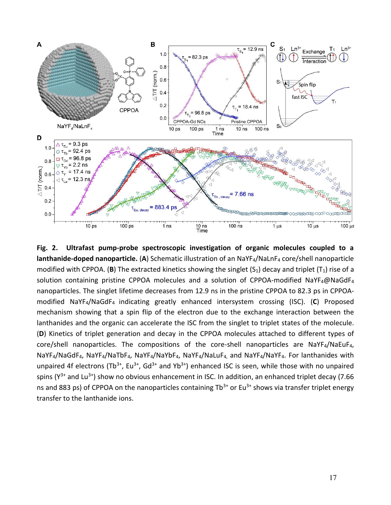

**Fig. 2. Ultrafast pump-probe spectroscopic investigation of organic molecules coupled to a lanthanide-doped nanoparticle.** (**A**) Schematic illustration of an NaYF4/NaLnF4 core/shell nanoparticle modified with CPPOA. (**B**) The extracted kinetics showing the singlet  $(S_1)$  decay and triplet  $(T_1)$  rise of a solution containing pristine CPPOA molecules and a solution of CPPOA-modified NaYF4@NaGdF4 nanoparticles. The singlet lifetime decreases from 12.9 ns in the pristine CPPOA to 82.3 ps in CPPOAmodified NaYF4/NaGdF4 indicating greatly enhanced intersystem crossing (ISC). (**C**) Proposed mechanism showing that a spin flip of the electron due to the exchange interaction between the lanthanides and the organic can accelerate the ISC from the singlet to triplet states of the molecule. (**D**) Kinetics of triplet generation and decay in the CPPOA molecules attached to different types of core/shell nanoparticles. The compositions of the core-shell nanoparticles are NaYF4/NaEuF4, NaYF<sub>4</sub>/NaGdF<sub>4</sub>, NaYF<sub>4</sub>/NaTbF<sub>4</sub>, NaYF<sub>4</sub>/NaYbF<sub>4</sub>, NaYF<sub>4</sub>/NaLuF<sub>4</sub>, and NaYF<sub>4</sub>/NaYF<sub>4</sub>. For lanthanides with unpaired 4f electrons (Tb<sup>3+</sup>, Eu<sup>3+</sup>, Gd<sup>3+</sup> and Yb<sup>3+</sup>) enhanced ISC is seen, while those with no unpaired spins ( $Y^{3+}$  and Lu<sup>3+</sup>) show no obvious enhancement in ISC. In addition, an enhanced triplet decay (7.66 ns and 883 ps) of CPPOA on the nanoparticles containing  $Tb^{3+}$  or Eu<sup>3+</sup> shows via transfer triplet energy transfer to the lanthanide ions.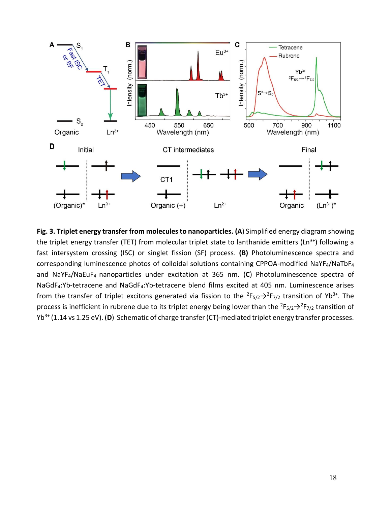

**Fig. 3. Triplet energy transfer from molecules to nanoparticles. (A**) Simplified energy diagram showing the triplet energy transfer (TET) from molecular triplet state to lanthanide emitters ( $\text{Ln}^{3+}$ ) following a fast intersystem crossing (ISC) or singlet fission (SF) process. **(B)** Photoluminescence spectra and corresponding luminescence photos of colloidal solutions containing CPPOA-modified NaYF4/NaTbF<sup>4</sup> and NaYF4/NaEuF4 nanoparticles under excitation at 365 nm. (**C**) Photoluminescence spectra of NaGdF4:Yb-tetracene and NaGdF4:Yb-tetracene blend films excited at 405 nm. Luminescence arises from the transfer of triplet excitons generated via fission to the  ${}^{2}F_{5/2} \rightarrow {}^{2}F_{7/2}$  transition of Yb<sup>3+</sup>. The process is inefficient in rubrene due to its triplet energy being lower than the  ${}^{2}F_{5/2} \rightarrow {}^{2}F_{7/2}$  transition of Yb3+ (1.14 vs 1.25 eV). (**D**) Schematic of charge transfer (CT)-mediated triplet energy transfer processes.